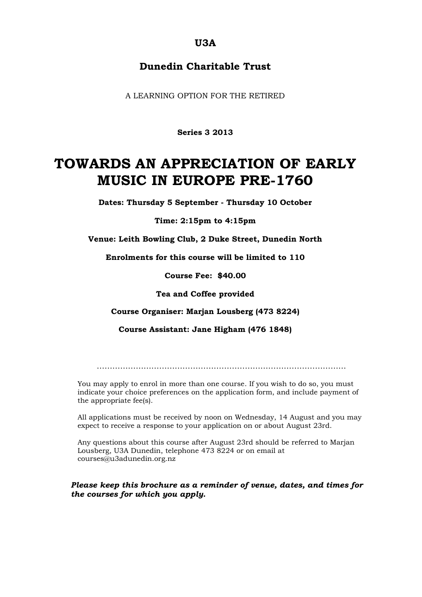### **U3A**

## **Dunedin Charitable Trust**

A LEARNING OPTION FOR THE RETIRED

**Series 3 2013**

# **TOWARDS AN APPRECIATION OF EARLY MUSIC IN EUROPE PRE-1760**

**Dates: Thursday 5 September - Thursday 10 October** 

**Time: 2:15pm to 4:15pm**

**Venue: Leith Bowling Club, 2 Duke Street, Dunedin North**

**Enrolments for this course will be limited to 110**

**Course Fee: \$40.00**

**Tea and Coffee provided**

**Course Organiser: Marjan Lousberg (473 8224)**

**Course Assistant: Jane Higham (476 1848)**

……………………………………………………………………………………

You may apply to enrol in more than one course. If you wish to do so, you must indicate your choice preferences on the application form, and include payment of the appropriate fee(s).

All applications must be received by noon on Wednesday, 14 August and you may expect to receive a response to your application on or about August 23rd.

Any questions about this course after August 23rd should be referred to Marjan Lousberg, U3A Dunedin, telephone 473 8224 or on email at courses@u3adunedin.org.nz

*Please keep this brochure as a reminder of venue, dates, and times for the courses for which you apply.*